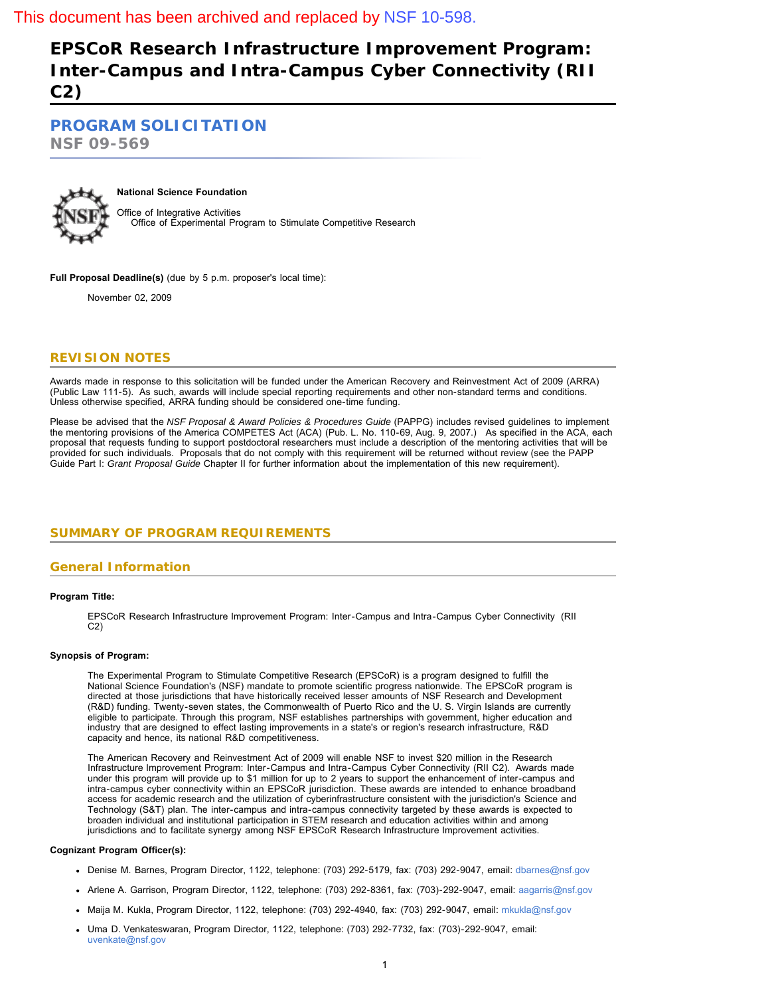# **EPSCoR Research Infrastructure Improvement Program: Inter-Campus and Intra-Campus Cyber Connectivity (RII C2)**

**[PROGRAM SOLICITATION](#page-1-0)**

**NSF 09-569**



# **National Science Foundation**

Office of Integrative Activities Office of Experimental Program to Stimulate Competitive Research

**Full Proposal Deadline(s)** (due by 5 p.m. proposer's local time):

November 02, 2009

## **REVISION NOTES**

Awards made in response to this solicitation will be funded under the American Recovery and Reinvestment Act of 2009 (ARRA) (Public Law 111-5). As such, awards will include special reporting requirements and other non-standard terms and conditions. Unless otherwise specified, ARRA funding should be considered one-time funding.

Please be advised that the *NSF Proposal & Award Policies & Procedures Guide* (PAPPG) includes revised guidelines to implement the mentoring provisions of the America COMPETES Act (ACA) (Pub. L. No. 110-69, Aug. 9, 2007.) As specified in the ACA, each proposal that requests funding to support postdoctoral researchers must include a description of the mentoring activities that will be provided for such individuals. Proposals that do not comply with this requirement will be returned without review (see the PAPP Guide Part I: *Grant Proposal Guide* Chapter II for further information about the implementation of this new requirement).

# <span id="page-0-0"></span>**SUMMARY OF PROGRAM REQUIREMENTS**

## **General Information**

#### **Program Title:**

EPSCoR Research Infrastructure Improvement Program: Inter-Campus and Intra-Campus Cyber Connectivity (RII C2)

#### **Synopsis of Program:**

The Experimental Program to Stimulate Competitive Research (EPSCoR) is a program designed to fulfill the National Science Foundation's (NSF) mandate to promote scientific progress nationwide. The EPSCoR program is directed at those jurisdictions that have historically received lesser amounts of NSF Research and Development (R&D) funding. Twenty-seven states, the Commonwealth of Puerto Rico and the U. S. Virgin Islands are currently eligible to participate. Through this program, NSF establishes partnerships with government, higher education and industry that are designed to effect lasting improvements in a state's or region's research infrastructure, R&D capacity and hence, its national R&D competitiveness.

The American Recovery and Reinvestment Act of 2009 will enable NSF to invest \$20 million in the Research Infrastructure Improvement Program: Inter-Campus and Intra-Campus Cyber Connectivity (RII C2). Awards made under this program will provide up to \$1 million for up to 2 years to support the enhancement of inter-campus and intra-campus cyber connectivity within an EPSCoR jurisdiction. These awards are intended to enhance broadband access for academic research and the utilization of cyberinfrastructure consistent with the jurisdiction's Science and Technology (S&T) plan. The inter-campus and intra-campus connectivity targeted by these awards is expected to broaden individual and institutional participation in STEM research and education activities within and among jurisdictions and to facilitate synergy among NSF EPSCoR Research Infrastructure Improvement activities.

#### **Cognizant Program Officer(s):**

- Denise M. Barnes, Program Director, 1122, telephone: (703) 292-5179, fax: (703) 292-9047, email: [dbarnes@nsf.gov](mailto:dbarnes@nsf.gov)
- Arlene A. Garrison, Program Director, 1122, telephone: (703) 292-8361, fax: (703)-292-9047, email: [aagarris@nsf.gov](mailto:aagarris@nsf.gov)
- Maija M. Kukla, Program Director, 1122, telephone: (703) 292-4940, fax: (703) 292-9047, email: [mkukla@nsf.gov](mailto:mkukla@nsf.gov)
- Uma D. Venkateswaran, Program Director, 1122, telephone: (703) 292-7732, fax: (703)-292-9047, email: [uvenkate@nsf.gov](mailto:uvenkate@nsf.gov)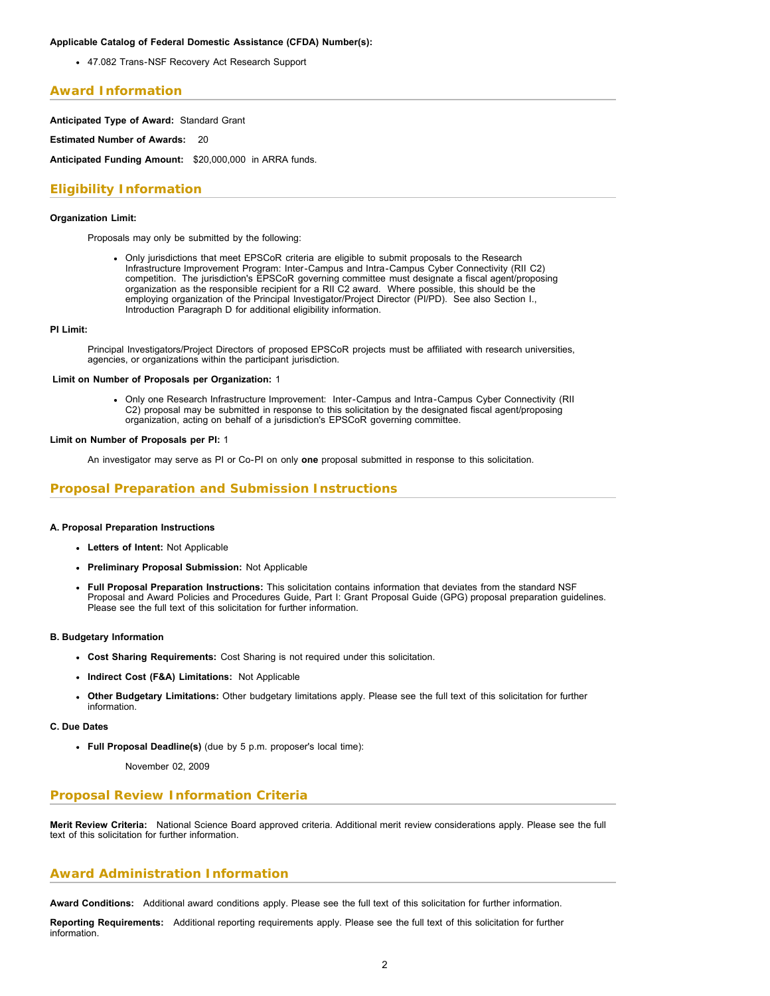#### **Applicable Catalog of Federal Domestic Assistance (CFDA) Number(s):**

47.082 Trans-NSF Recovery Act Research Support

## **Award Information**

**Anticipated Type of Award:** Standard Grant

**Estimated Number of Awards:** 20

**Anticipated Funding Amount:** \$20,000,000 in ARRA funds.

# **Eligibility Information**

#### **Organization Limit:**

Proposals may only be submitted by the following:

Only jurisdictions that meet EPSCoR criteria are eligible to submit proposals to the Research Infrastructure Improvement Program: Inter-Campus and Intra-Campus Cyber Connectivity (RII C2) competition. The jurisdiction's EPSCoR governing committee must designate a fiscal agent/proposing organization as the responsible recipient for a RII C2 award. Where possible, this should be the employing organization of the Principal Investigator/Project Director (PI/PD). See also Section I., Introduction Paragraph D for additional eligibility information.

#### **PI Limit:**

Principal Investigators/Project Directors of proposed EPSCoR projects must be affiliated with research universities, agencies, or organizations within the participant jurisdiction.

#### **Limit on Number of Proposals per Organization:** 1

Only one Research Infrastructure Improvement: Inter-Campus and Intra-Campus Cyber Connectivity (RII C2) proposal may be submitted in response to this solicitation by the designated fiscal agent/proposing organization, acting on behalf of a jurisdiction's EPSCoR governing committee.

### **Limit on Number of Proposals per PI:** 1

An investigator may serve as PI or Co-PI on only **one** proposal submitted in response to this solicitation.

## **Proposal Preparation and Submission Instructions**

#### **A. Proposal Preparation Instructions**

- **Letters of Intent:** Not Applicable
- **Preliminary Proposal Submission:** Not Applicable
- **Full Proposal Preparation Instructions:** This solicitation contains information that deviates from the standard NSF Proposal and Award Policies and Procedures Guide, Part I: Grant Proposal Guide (GPG) proposal preparation guidelines. Please see the full text of this solicitation for further information.

#### **B. Budgetary Information**

- **Cost Sharing Requirements:** Cost Sharing is not required under this solicitation.
- **Indirect Cost (F&A) Limitations:** Not Applicable
- **Other Budgetary Limitations:** Other budgetary limitations apply. Please see the full text of this solicitation for further information.
- **C. Due Dates**
	- **Full Proposal Deadline(s)** (due by 5 p.m. proposer's local time):

November 02, 2009

### **Proposal Review Information Criteria**

**Merit Review Criteria:** National Science Board approved criteria. Additional merit review considerations apply. Please see the full text of this solicitation for further information.

### **Award Administration Information**

**Award Conditions:** Additional award conditions apply. Please see the full text of this solicitation for further information.

<span id="page-1-0"></span>**Reporting Requirements:** Additional reporting requirements apply. Please see the full text of this solicitation for further information.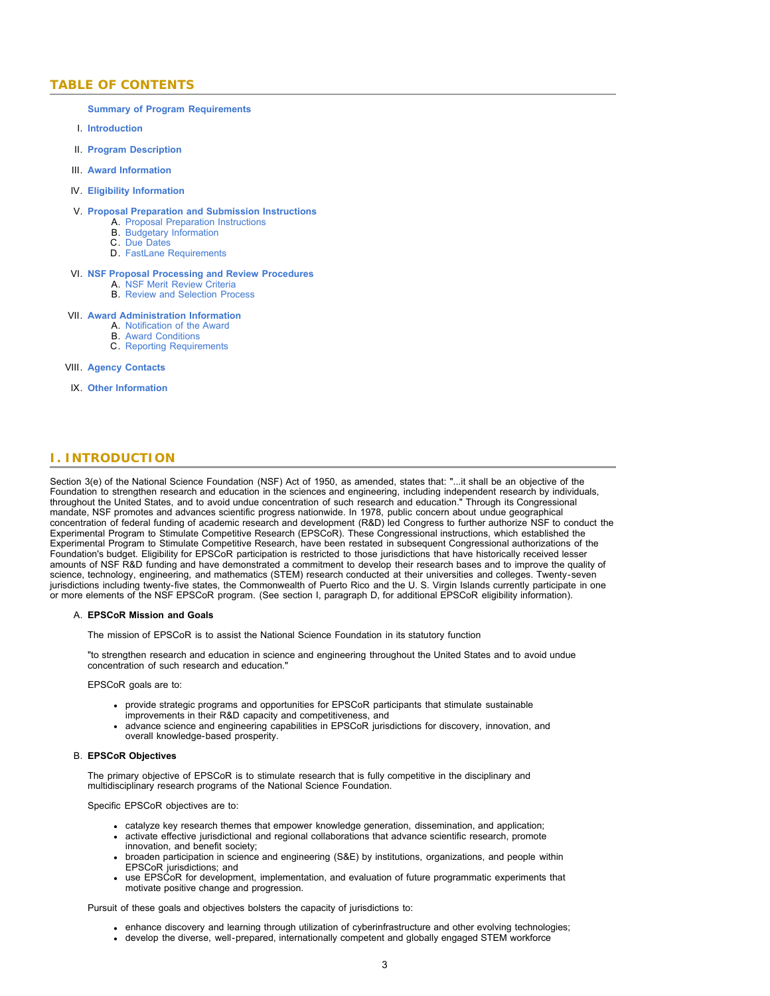## **TABLE OF CONTENTS**

**[Summary of Program Requirements](#page-0-0)**

- I. **[Introduction](#page-2-0)**
- II. **[Program Description](#page-4-0)**
- III. **[Award Information](#page-5-0)**
- IV. **[Eligibility Information](#page-5-1)**

#### V. **[Proposal Preparation and Submission Instructions](#page-5-2)**

- A. [Proposal Preparation Instructions](#page-5-2)
- B. [Budgetary Information](#page-7-0)
- C. [Due Dates](#page-7-1)
- D. [FastLane Requirements](#page-7-2)

#### VI. **[NSF Proposal Processing and Review Procedures](#page-7-3)**

- A. [NSF Merit Review Criteria](#page-8-0)
- B. [Review and Selection Process](#page-9-0)

#### VII. **[Award Administration Information](#page-9-1)**

- A. [Notification of the Award](#page-9-2)
- B. [Award Conditions](#page-9-3)
- C. [Reporting Requirements](#page-10-0)

#### VIII. **[Agency Contacts](#page-10-1)**

IX. **[Other Information](#page-11-0)**

# <span id="page-2-0"></span>**I. INTRODUCTION**

Section 3(e) of the National Science Foundation (NSF) Act of 1950, as amended, states that: "...it shall be an objective of the Foundation to strengthen research and education in the sciences and engineering, including independent research by individuals, throughout the United States, and to avoid undue concentration of such research and education." Through its Congressional mandate, NSF promotes and advances scientific progress nationwide. In 1978, public concern about undue geographical concentration of federal funding of academic research and development (R&D) led Congress to further authorize NSF to conduct the Experimental Program to Stimulate Competitive Research (EPSCoR). These Congressional instructions, which established the Experimental Program to Stimulate Competitive Research, have been restated in subsequent Congressional authorizations of the Foundation's budget. Eligibility for EPSCoR participation is restricted to those jurisdictions that have historically received lesser amounts of NSF R&D funding and have demonstrated a commitment to develop their research bases and to improve the quality of science, technology, engineering, and mathematics (STEM) research conducted at their universities and colleges. Twenty-seven jurisdictions including twenty-five states, the Commonwealth of Puerto Rico and the U. S. Virgin Islands currently participate in one or more elements of the NSF EPSCoR program. (See section I, paragraph D, for additional EPSCoR eligibility information).

#### A. **EPSCoR Mission and Goals**

The mission of EPSCoR is to assist the National Science Foundation in its statutory function

"to strengthen research and education in science and engineering throughout the United States and to avoid undue concentration of such research and education."

EPSCoR goals are to:

- provide strategic programs and opportunities for EPSCoR participants that stimulate sustainable
- improvements in their R&D capacity and competitiveness, and
- advance science and engineering capabilities in EPSCoR jurisdictions for discovery, innovation, and overall knowledge-based prosperity.

#### B. **EPSCoR Objectives**

The primary objective of EPSCoR is to stimulate research that is fully competitive in the disciplinary and multidisciplinary research programs of the National Science Foundation.

Specific EPSCoR objectives are to:

- catalyze key research themes that empower knowledge generation, dissemination, and application;
- activate effective jurisdictional and regional collaborations that advance scientific research, promote innovation, and benefit society;
- broaden participation in science and engineering (S&E) by institutions, organizations, and people within EPSCoR jurisdictions; and
- use EPSCoR for development, implementation, and evaluation of future programmatic experiments that motivate positive change and progression.

Pursuit of these goals and objectives bolsters the capacity of jurisdictions to:

- enhance discovery and learning through utilization of cyberinfrastructure and other evolving technologies;
- develop the diverse, well-prepared, internationally competent and globally engaged STEM workforce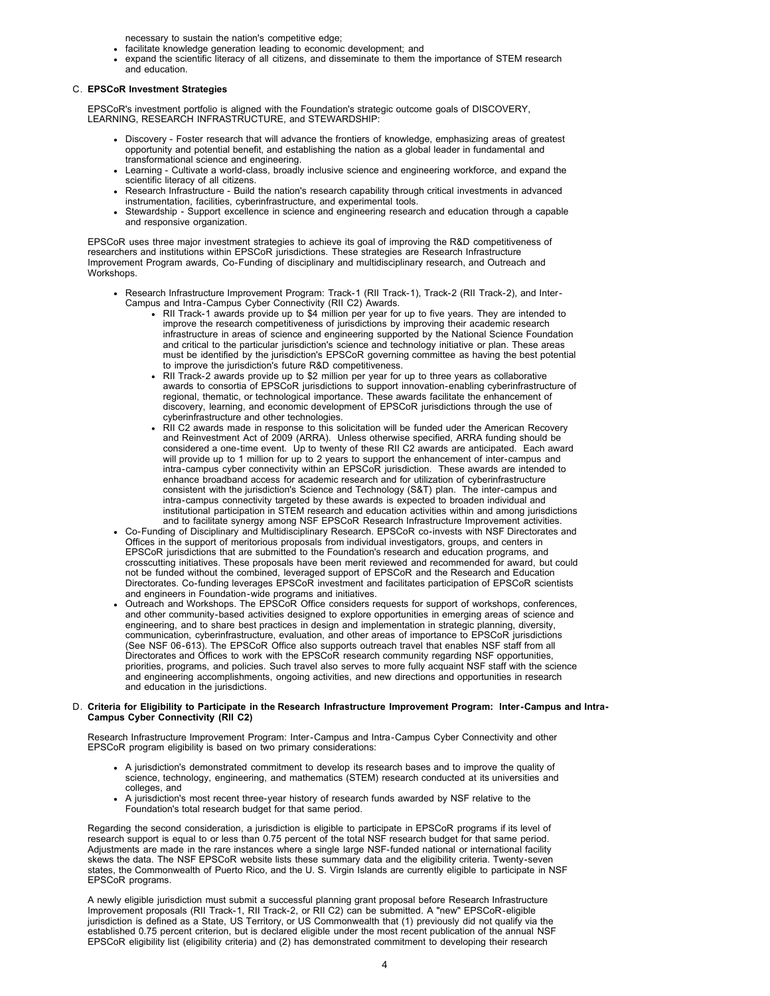necessary to sustain the nation's competitive edge;

- facilitate knowledge generation leading to economic development; and
- expand the scientific literacy of all citizens, and disseminate to them the importance of STEM research and education.

#### C. **EPSCoR Investment Strategies**

EPSCoR's investment portfolio is aligned with the Foundation's strategic outcome goals of DISCOVERY, LEARNING, RESEARCH INFRASTRUCTURE, and STEWARDSHIP:

- Discovery Foster research that will advance the frontiers of knowledge, emphasizing areas of greatest opportunity and potential benefit, and establishing the nation as a global leader in fundamental and transformational science and engineering.
- Learning Cultivate a world-class, broadly inclusive science and engineering workforce, and expand the scientific literacy of all citizens.
- Research Infrastructure Build the nation's research capability through critical investments in advanced instrumentation, facilities, cyberinfrastructure, and experimental tools.
- Stewardship Support excellence in science and engineering research and education through a capable and responsive organization.

EPSCoR uses three major investment strategies to achieve its goal of improving the R&D competitiveness of researchers and institutions within EPSCoR jurisdictions. These strategies are Research Infrastructure Improvement Program awards, Co-Funding of disciplinary and multidisciplinary research, and Outreach and Workshops.

- Research Infrastructure Improvement Program: Track-1 (RII Track-1), Track-2 (RII Track-2), and Inter-Campus and Intra-Campus Cyber Connectivity (RII C2) Awards.
	- RII Track-1 awards provide up to \$4 million per year for up to five years. They are intended to improve the research competitiveness of jurisdictions by improving their academic research infrastructure in areas of science and engineering supported by the National Science Foundation and critical to the particular jurisdiction's science and technology initiative or plan. These areas must be identified by the jurisdiction's EPSCoR governing committee as having the best potential to improve the jurisdiction's future R&D competitiveness.
	- RII Track-2 awards provide up to \$2 million per year for up to three years as collaborative awards to consortia of EPSCoR jurisdictions to support innovation-enabling cyberinfrastructure of regional, thematic, or technological importance. These awards facilitate the enhancement of discovery, learning, and economic development of EPSCoR jurisdictions through the use of cyberinfrastructure and other technologies.
	- RII C2 awards made in response to this solicitation will be funded uder the American Recovery and Reinvestment Act of 2009 (ARRA). Unless otherwise specified, ARRA funding should be considered a one-time event. Up to twenty of these RII C2 awards are anticipated. Each award will provide up to 1 million for up to 2 years to support the enhancement of inter-campus and intra-campus cyber connectivity within an EPSCoR jurisdiction. These awards are intended to enhance broadband access for academic research and for utilization of cyberinfrastructure consistent with the jurisdiction's Science and Technology (S&T) plan. The inter-campus and intra-campus connectivity targeted by these awards is expected to broaden individual and institutional participation in STEM research and education activities within and among jurisdictions and to facilitate synergy among NSF EPSCoR Research Infrastructure Improvement activities.
- Co-Funding of Disciplinary and Multidisciplinary Research. EPSCoR co-invests with NSF Directorates and Offices in the support of meritorious proposals from individual investigators, groups, and centers in EPSCoR jurisdictions that are submitted to the Foundation's research and education programs, and crosscutting initiatives. These proposals have been merit reviewed and recommended for award, but could not be funded without the combined, leveraged support of EPSCoR and the Research and Education Directorates. Co-funding leverages EPSCoR investment and facilitates participation of EPSCoR scientists and engineers in Foundation-wide programs and initiatives.
- Outreach and Workshops. The EPSCoR Office considers requests for support of workshops, conferences, and other community-based activities designed to explore opportunities in emerging areas of science and engineering, and to share best practices in design and implementation in strategic planning, diversity, communication, cyberinfrastructure, evaluation, and other areas of importance to EPSCoR jurisdictions (See NSF 06-613). The EPSCoR Office also supports outreach travel that enables NSF staff from all Directorates and Offices to work with the EPSCoR research community regarding NSF opportunities, priorities, programs, and policies. Such travel also serves to more fully acquaint NSF staff with the science and engineering accomplishments, ongoing activities, and new directions and opportunities in research and education in the jurisdictions.

#### D. **Criteria for Eligibility to Participate in the Research Infrastructure Improvement Program: Inter-Campus and Intra-Campus Cyber Connectivity (RII C2)**

Research Infrastructure Improvement Program: Inter-Campus and Intra-Campus Cyber Connectivity and other EPSCoR program eligibility is based on two primary considerations:

- A jurisdiction's demonstrated commitment to develop its research bases and to improve the quality of science, technology, engineering, and mathematics (STEM) research conducted at its universities and colleges, and
- A jurisdiction's most recent three-year history of research funds awarded by NSF relative to the Foundation's total research budget for that same period.

Regarding the second consideration, a jurisdiction is eligible to participate in EPSCoR programs if its level of research support is equal to or less than 0.75 percent of the total NSF research budget for that same period. Adjustments are made in the rare instances where a single large NSF-funded national or international facility skews the data. The NSF EPSCoR website lists these summary data and the eligibility criteria. Twenty-seven states, the Commonwealth of Puerto Rico, and the U. S. Virgin Islands are currently eligible to participate in NSF EPSCoR programs.

A newly eligible jurisdiction must submit a successful planning grant proposal before Research Infrastructure Improvement proposals (RII Track-1, RII Track-2, or RII C2) can be submitted. A "new" EPSCoR-eligible jurisdiction is defined as a State, US Territory, or US Commonwealth that (1) previously did not qualify via the established 0.75 percent criterion, but is declared eligible under the most recent publication of the annual NSF EPSCoR eligibility list (eligibility criteria) and (2) has demonstrated commitment to developing their research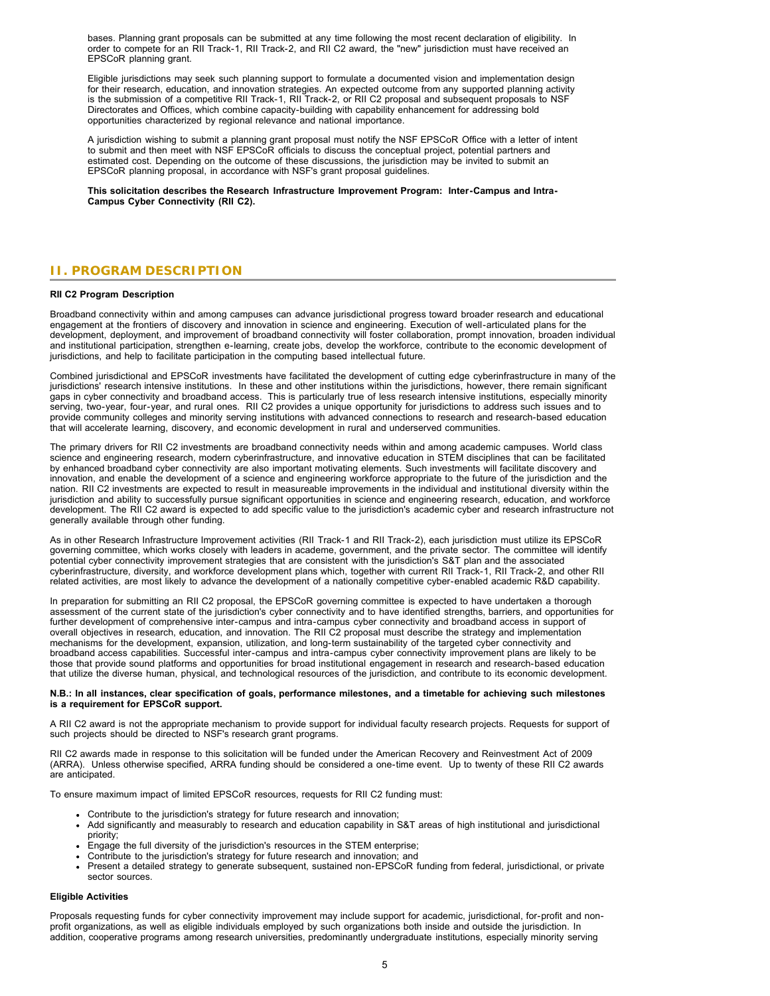bases. Planning grant proposals can be submitted at any time following the most recent declaration of eligibility. In order to compete for an RII Track-1, RII Track-2, and RII C2 award, the "new" jurisdiction must have received an EPSCoR planning grant.

Eligible jurisdictions may seek such planning support to formulate a documented vision and implementation design for their research, education, and innovation strategies. An expected outcome from any supported planning activity is the submission of a competitive RII Track-1, RII Track-2, or RII C2 proposal and subsequent proposals to NSF Directorates and Offices, which combine capacity-building with capability enhancement for addressing bold opportunities characterized by regional relevance and national importance.

A jurisdiction wishing to submit a planning grant proposal must notify the NSF EPSCoR Office with a letter of intent to submit and then meet with NSF EPSCoR officials to discuss the conceptual project, potential partners and estimated cost. Depending on the outcome of these discussions, the jurisdiction may be invited to submit an EPSCoR planning proposal, in accordance with NSF's grant proposal guidelines.

**This solicitation describes the Research Infrastructure Improvement Program: Inter-Campus and Intra-Campus Cyber Connectivity (RII C2).**

# <span id="page-4-0"></span>**II. PROGRAM DESCRIPTION**

#### **RII C2 Program Description**

Broadband connectivity within and among campuses can advance jurisdictional progress toward broader research and educational engagement at the frontiers of discovery and innovation in science and engineering. Execution of well-articulated plans for the development, deployment, and improvement of broadband connectivity will foster collaboration, prompt innovation, broaden individual and institutional participation, strengthen e-learning, create jobs, develop the workforce, contribute to the economic development of jurisdictions, and help to facilitate participation in the computing based intellectual future.

Combined jurisdictional and EPSCoR investments have facilitated the development of cutting edge cyberinfrastructure in many of the jurisdictions' research intensive institutions. In these and other institutions within the jurisdictions, however, there remain significant gaps in cyber connectivity and broadband access. This is particularly true of less research intensive institutions, especially minority serving, two-year, four-year, and rural ones. RII C2 provides a unique opportunity for jurisdictions to address such issues and to provide community colleges and minority serving institutions with advanced connections to research and research-based education that will accelerate learning, discovery, and economic development in rural and underserved communities.

The primary drivers for RII C2 investments are broadband connectivity needs within and among academic campuses. World class science and engineering research, modern cyberinfrastructure, and innovative education in STEM disciplines that can be facilitated by enhanced broadband cyber connectivity are also important motivating elements. Such investments will facilitate discovery and innovation, and enable the development of a science and engineering workforce appropriate to the future of the jurisdiction and the nation. RII C2 investments are expected to result in measureable improvements in the individual and institutional diversity within the jurisdiction and ability to successfully pursue significant opportunities in science and engineering research, education, and workforce development. The RII C2 award is expected to add specific value to the jurisdiction's academic cyber and research infrastructure not generally available through other funding.

As in other Research Infrastructure Improvement activities (RII Track-1 and RII Track-2), each jurisdiction must utilize its EPSCoR governing committee, which works closely with leaders in academe, government, and the private sector. The committee will identify potential cyber connectivity improvement strategies that are consistent with the jurisdiction's S&T plan and the associated cyberinfrastructure, diversity, and workforce development plans which, together with current RII Track-1, RII Track-2, and other RII related activities, are most likely to advance the development of a nationally competitive cyber-enabled academic R&D capability.

In preparation for submitting an RII C2 proposal, the EPSCoR governing committee is expected to have undertaken a thorough assessment of the current state of the jurisdiction's cyber connectivity and to have identified strengths, barriers, and opportunities for further development of comprehensive inter-campus and intra-campus cyber connectivity and broadband access in support of overall objectives in research, education, and innovation. The RII C2 proposal must describe the strategy and implementation mechanisms for the development, expansion, utilization, and long-term sustainability of the targeted cyber connectivity and broadband access capabilities. Successful inter-campus and intra-campus cyber connectivity improvement plans are likely to be those that provide sound platforms and opportunities for broad institutional engagement in research and research-based education that utilize the diverse human, physical, and technological resources of the jurisdiction, and contribute to its economic development.

#### **N.B.: In all instances, clear specification of goals, performance milestones, and a timetable for achieving such milestones is a requirement for EPSCoR support.**

A RII C2 award is not the appropriate mechanism to provide support for individual faculty research projects. Requests for support of such projects should be directed to NSF's research grant programs.

RII C2 awards made in response to this solicitation will be funded under the American Recovery and Reinvestment Act of 2009 (ARRA). Unless otherwise specified, ARRA funding should be considered a one-time event. Up to twenty of these RII C2 awards are anticipated.

To ensure maximum impact of limited EPSCoR resources, requests for RII C2 funding must:

- Contribute to the jurisdiction's strategy for future research and innovation;
- Add significantly and measurably to research and education capability in S&T areas of high institutional and jurisdictional priority;
- Engage the full diversity of the jurisdiction's resources in the STEM enterprise;
- Contribute to the jurisdiction's strategy for future research and innovation; and
- Present a detailed strategy to generate subsequent, sustained non-EPSCoR funding from federal, jurisdictional, or private sector sources.

#### **Eligible Activities**

Proposals requesting funds for cyber connectivity improvement may include support for academic, jurisdictional, for-profit and nonprofit organizations, as well as eligible individuals employed by such organizations both inside and outside the jurisdiction. In addition, cooperative programs among research universities, predominantly undergraduate institutions, especially minority serving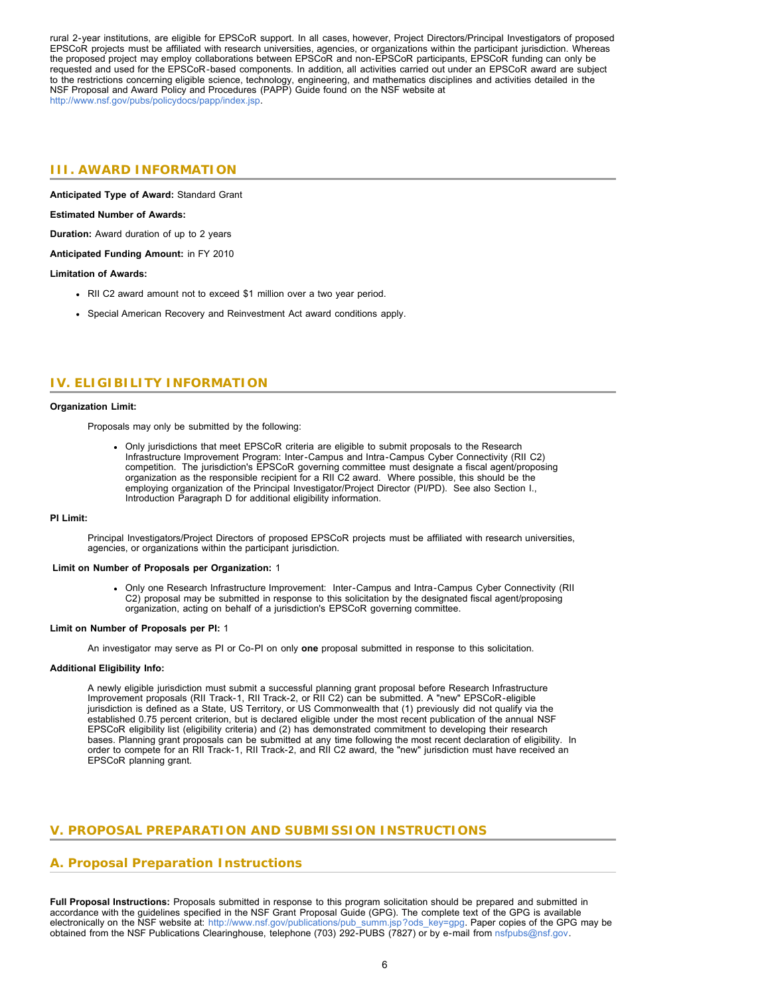rural 2-year institutions, are eligible for EPSCoR support. In all cases, however, Project Directors/Principal Investigators of proposed EPSCoR projects must be affiliated with research universities, agencies, or organizations within the participant jurisdiction. Whereas the proposed project may employ collaborations between EPSCoR and non-EPSCoR participants, EPSCoR funding can only be requested and used for the EPSCoR-based components. In addition, all activities carried out under an EPSCoR award are subject to the restrictions concerning eligible science, technology, engineering, and mathematics disciplines and activities detailed in the NSF Proposal and Award Policy and Procedures (PAPP) Guide found on the NSF website at <http://www.nsf.gov/pubs/policydocs/papp/index.jsp>.

# <span id="page-5-0"></span>**III. AWARD INFORMATION**

**Anticipated Type of Award:** Standard Grant

#### **Estimated Number of Awards:**

**Duration:** Award duration of up to 2 years

**Anticipated Funding Amount:** in FY 2010

#### **Limitation of Awards:**

- RII C2 award amount not to exceed \$1 million over a two year period.
- Special American Recovery and Reinvestment Act award conditions apply.

# <span id="page-5-1"></span>**IV. ELIGIBILITY INFORMATION**

#### **Organization Limit:**

Proposals may only be submitted by the following:

Only jurisdictions that meet EPSCoR criteria are eligible to submit proposals to the Research Infrastructure Improvement Program: Inter-Campus and Intra-Campus Cyber Connectivity (RII C2) competition. The jurisdiction's EPSCoR governing committee must designate a fiscal agent/proposing organization as the responsible recipient for a RII C2 award. Where possible, this should be the employing organization of the Principal Investigator/Project Director (PI/PD). See also Section I., Introduction Paragraph D for additional eligibility information.

#### **PI Limit:**

Principal Investigators/Project Directors of proposed EPSCoR projects must be affiliated with research universities, agencies, or organizations within the participant jurisdiction.

#### **Limit on Number of Proposals per Organization:** 1

Only one Research Infrastructure Improvement: Inter-Campus and Intra-Campus Cyber Connectivity (RII C2) proposal may be submitted in response to this solicitation by the designated fiscal agent/proposing organization, acting on behalf of a jurisdiction's EPSCoR governing committee.

#### **Limit on Number of Proposals per PI:** 1

An investigator may serve as PI or Co-PI on only **one** proposal submitted in response to this solicitation.

#### **Additional Eligibility Info:**

A newly eligible jurisdiction must submit a successful planning grant proposal before Research Infrastructure Improvement proposals (RII Track-1, RII Track-2, or RII C2) can be submitted. A "new" EPSCoR-eligible jurisdiction is defined as a State, US Territory, or US Commonwealth that (1) previously did not qualify via the established 0.75 percent criterion, but is declared eligible under the most recent publication of the annual NSF EPSCoR eligibility list (eligibility criteria) and (2) has demonstrated commitment to developing their research bases. Planning grant proposals can be submitted at any time following the most recent declaration of eligibility. In order to compete for an RII Track-1, RII Track-2, and RII C2 award, the "new" jurisdiction must have received an EPSCoR planning grant.

## <span id="page-5-2"></span>**V. PROPOSAL PREPARATION AND SUBMISSION INSTRUCTIONS**

# **A. Proposal Preparation Instructions**

**Full Proposal Instructions:** Proposals submitted in response to this program solicitation should be prepared and submitted in accordance with the guidelines specified in the NSF Grant Proposal Guide (GPG). The complete text of the GPG is available electronically on the NSF website at: [http://www.nsf.gov/publications/pub\\_summ.jsp?ods\\_key=gpg.](http://www.nsf.gov/publications/pub_summ.jsp?ods_key=gpg) Paper copies of the GPG may be obtained from the NSF Publications Clearinghouse, telephone (703) 292-PUBS (7827) or by e-mail from [nsfpubs@nsf.gov.](mailto:pubs@nsf.gov)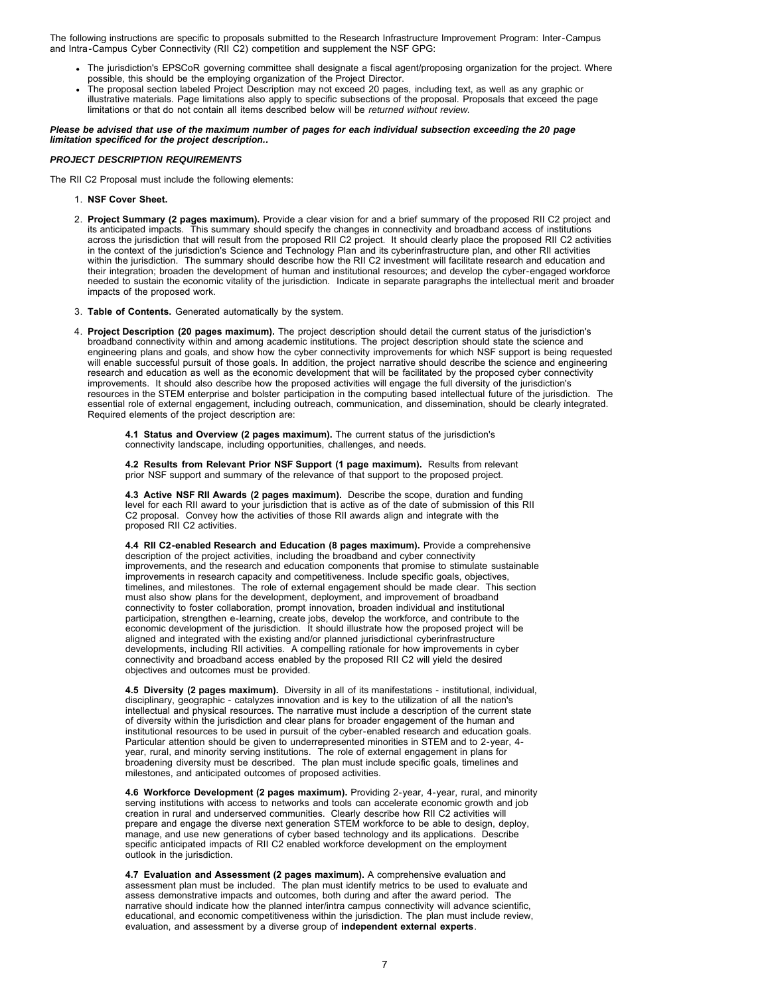The following instructions are specific to proposals submitted to the Research Infrastructure Improvement Program: Inter-Campus and Intra-Campus Cyber Connectivity (RII C2) competition and supplement the NSF GPG:

- The jurisdiction's EPSCoR governing committee shall designate a fiscal agent/proposing organization for the project. Where possible, this should be the employing organization of the Project Director.
- The proposal section labeled Project Description may not exceed 20 pages, including text, as well as any graphic or illustrative materials. Page limitations also apply to specific subsections of the proposal. Proposals that exceed the page limitations or that do not contain all items described below will be *returned without review.*

*Please be advised that use of the maximum number of pages for each individual subsection exceeding the 20 page limitation specificed for the project description..* 

### *PROJECT DESCRIPTION REQUIREMENTS*

The RII C2 Proposal must include the following elements:

- 1. **NSF Cover Sheet.**
- 2. **Project Summary (2 pages maximum).** Provide a clear vision for and a brief summary of the proposed RII C2 project and its anticipated impacts. This summary should specify the changes in connectivity and broadband access of institutions across the jurisdiction that will result from the proposed RII C2 project. It should clearly place the proposed RII C2 activities in the context of the jurisdiction's Science and Technology Plan and its cyberinfrastructure plan, and other RII activities within the jurisdiction. The summary should describe how the RII C2 investment will facilitate research and education and their integration; broaden the development of human and institutional resources; and develop the cyber-engaged workforce needed to sustain the economic vitality of the jurisdiction. Indicate in separate paragraphs the intellectual merit and broader impacts of the proposed work.
- 3. **Table of Contents.** Generated automatically by the system.
- 4. **Project Description (20 pages maximum).** The project description should detail the current status of the jurisdiction's broadband connectivity within and among academic institutions. The project description should state the science and engineering plans and goals, and show how the cyber connectivity improvements for which NSF support is being requested will enable successful pursuit of those goals. In addition, the project narrative should describe the science and engineering research and education as well as the economic development that will be facilitated by the proposed cyber connectivity improvements. It should also describe how the proposed activities will engage the full diversity of the jurisdiction's resources in the STEM enterprise and bolster participation in the computing based intellectual future of the jurisdiction. The essential role of external engagement, including outreach, communication, and dissemination, should be clearly integrated. Required elements of the project description are:

**4.1 Status and Overview (2 pages maximum).** The current status of the jurisdiction's connectivity landscape, including opportunities, challenges, and needs.

**4.2 Results from Relevant Prior NSF Support (1 page maximum).** Results from relevant prior NSF support and summary of the relevance of that support to the proposed project.

**4.3 Active NSF RII Awards (2 pages maximum).** Describe the scope, duration and funding level for each RII award to your jurisdiction that is active as of the date of submission of this RII C2 proposal. Convey how the activities of those RII awards align and integrate with the proposed RII C2 activities.

**4.4 RII C2-enabled Research and Education (8 pages maximum).** Provide a comprehensive description of the project activities, including the broadband and cyber connectivity improvements, and the research and education components that promise to stimulate sustainable improvements in research capacity and competitiveness. Include specific goals, objectives, timelines, and milestones. The role of external engagement should be made clear. This section must also show plans for the development, deployment, and improvement of broadband connectivity to foster collaboration, prompt innovation, broaden individual and institutional participation, strengthen e-learning, create jobs, develop the workforce, and contribute to the economic development of the jurisdiction. It should illustrate how the proposed project will be aligned and integrated with the existing and/or planned jurisdictional cyberinfrastructure developments, including RII activities. A compelling rationale for how improvements in cyber connectivity and broadband access enabled by the proposed RII C2 will yield the desired objectives and outcomes must be provided.

**4.5 Diversity (2 pages maximum).** Diversity in all of its manifestations - institutional, individual, disciplinary, geographic - catalyzes innovation and is key to the utilization of all the nation's intellectual and physical resources. The narrative must include a description of the current state of diversity within the jurisdiction and clear plans for broader engagement of the human and institutional resources to be used in pursuit of the cyber-enabled research and education goals. Particular attention should be given to underrepresented minorities in STEM and to 2-year, 4 year, rural, and minority serving institutions. The role of external engagement in plans for broadening diversity must be described. The plan must include specific goals, timelines and milestones, and anticipated outcomes of proposed activities.

**4.6 Workforce Development (2 pages maximum).** Providing 2-year, 4-year, rural, and minority serving institutions with access to networks and tools can accelerate economic growth and job creation in rural and underserved communities. Clearly describe how RII C2 activities will prepare and engage the diverse next generation STEM workforce to be able to design, deploy, manage, and use new generations of cyber based technology and its applications. Describe specific anticipated impacts of RII C2 enabled workforce development on the employment outlook in the jurisdiction.

**4.7 Evaluation and Assessment (2 pages maximum).** A comprehensive evaluation and assessment plan must be included. The plan must identify metrics to be used to evaluate and assess demonstrative impacts and outcomes, both during and after the award period. The narrative should indicate how the planned inter/intra campus connectivity will advance scientific, educational, and economic competitiveness within the jurisdiction. The plan must include review, evaluation, and assessment by a diverse group of **independent external experts**.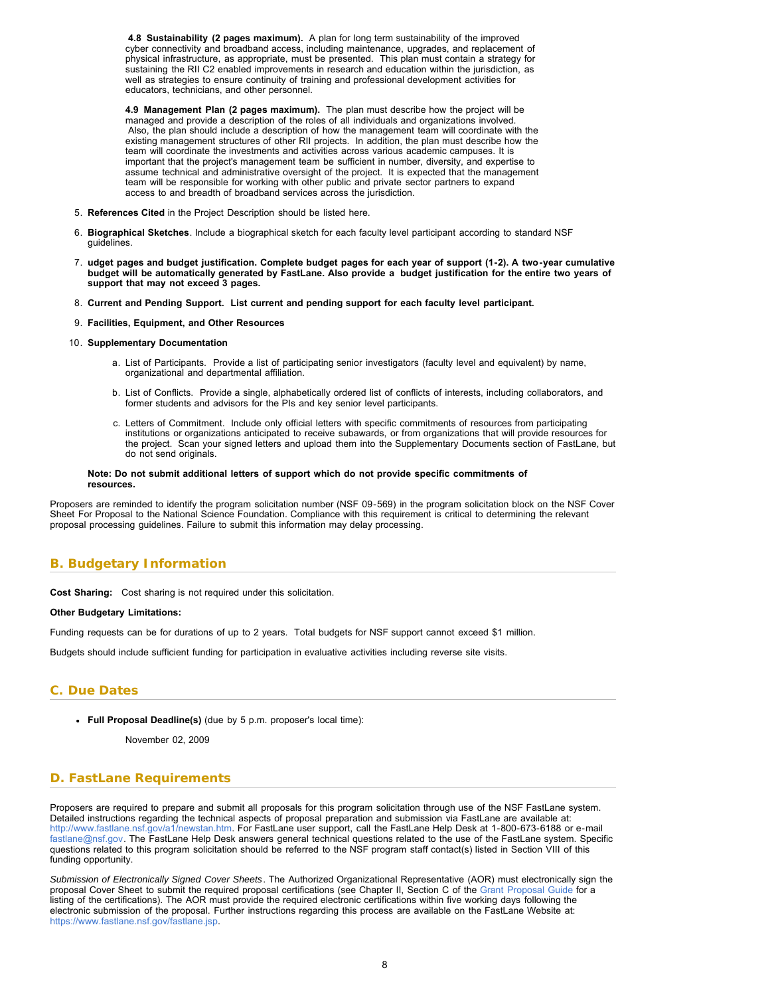**4.8 Sustainability (2 pages maximum).** A plan for long term sustainability of the improved cyber connectivity and broadband access, including maintenance, upgrades, and replacement of physical infrastructure, as appropriate, must be presented. This plan must contain a strategy for sustaining the RII C2 enabled improvements in research and education within the jurisdiction, as well as strategies to ensure continuity of training and professional development activities for educators, technicians, and other personnel.

**4.9 Management Plan (2 pages maximum).** The plan must describe how the project will be managed and provide a description of the roles of all individuals and organizations involved. Also, the plan should include a description of how the management team will coordinate with the existing management structures of other RII projects. In addition, the plan must describe how the team will coordinate the investments and activities across various academic campuses. It is important that the project's management team be sufficient in number, diversity, and expertise to assume technical and administrative oversight of the project. It is expected that the management team will be responsible for working with other public and private sector partners to expand access to and breadth of broadband services across the jurisdiction.

- 5. **References Cited** in the Project Description should be listed here.
- 6. **Biographical Sketches**. Include a biographical sketch for each faculty level participant according to standard NSF guidelines.
- 7. **udget pages and budget justification. Complete budget pages for each year of support (1-2). A two-year cumulative budget will be automatically generated by FastLane. Also provide a budget justification for the entire two years of support that may not exceed 3 pages.**
- 8. **Current and Pending Support. List current and pending support for each faculty level participant.**
- 9. **Facilities, Equipment, and Other Resources**
- 10. **Supplementary Documentation**
	- a. List of Participants. Provide a list of participating senior investigators (faculty level and equivalent) by name, organizational and departmental affiliation.
	- b. List of Conflicts. Provide a single, alphabetically ordered list of conflicts of interests, including collaborators, and former students and advisors for the PIs and key senior level participants.
	- c. Letters of Commitment. Include only official letters with specific commitments of resources from participating institutions or organizations anticipated to receive subawards, or from organizations that will provide resources for the project. Scan your signed letters and upload them into the Supplementary Documents section of FastLane, but do not send originals.

#### **Note: Do not submit additional letters of support which do not provide specific commitments of resources.**

Proposers are reminded to identify the program solicitation number (NSF 09-569) in the program solicitation block on the NSF Cover Sheet For Proposal to the National Science Foundation. Compliance with this requirement is critical to determining the relevant proposal processing guidelines. Failure to submit this information may delay processing.

# <span id="page-7-0"></span>**B. Budgetary Information**

**Cost Sharing:** Cost sharing is not required under this solicitation.

#### **Other Budgetary Limitations:**

Funding requests can be for durations of up to 2 years. Total budgets for NSF support cannot exceed \$1 million.

Budgets should include sufficient funding for participation in evaluative activities including reverse site visits.

## <span id="page-7-1"></span>**C. Due Dates**

**Full Proposal Deadline(s)** (due by 5 p.m. proposer's local time):

November 02, 2009

## <span id="page-7-2"></span>**D. FastLane Requirements**

Proposers are required to prepare and submit all proposals for this program solicitation through use of the NSF FastLane system. Detailed instructions regarding the technical aspects of proposal preparation and submission via FastLane are available at: [http://www.fastlane.nsf.gov/a1/newstan.htm.](http://www.fastlane.nsf.gov/a1/newstan.htm) For FastLane user support, call the FastLane Help Desk at 1-800-673-6188 or e-mail [fastlane@nsf.gov.](mailto:fastlane@nsf.gov) The FastLane Help Desk answers general technical questions related to the use of the FastLane system. Specific questions related to this program solicitation should be referred to the NSF program staff contact(s) listed in Section VIII of this funding opportunity.

<span id="page-7-3"></span>*Submission of Electronically Signed Cover Sheets*. The Authorized Organizational Representative (AOR) must electronically sign the proposal Cover Sheet to submit the required proposal certifications (see Chapter II, Section C of the [Grant Proposal Guide](http://www.nsf.gov/publications/pub_summ.jsp?ods_key=gpg) for a listing of the certifications). The AOR must provide the required electronic certifications within five working days following the electronic submission of the proposal. Further instructions regarding this process are available on the FastLane Website at: [https://www.fastlane.nsf.gov/fastlane.jsp.](https://www.fastlane.nsf.gov/fastlane.jsp)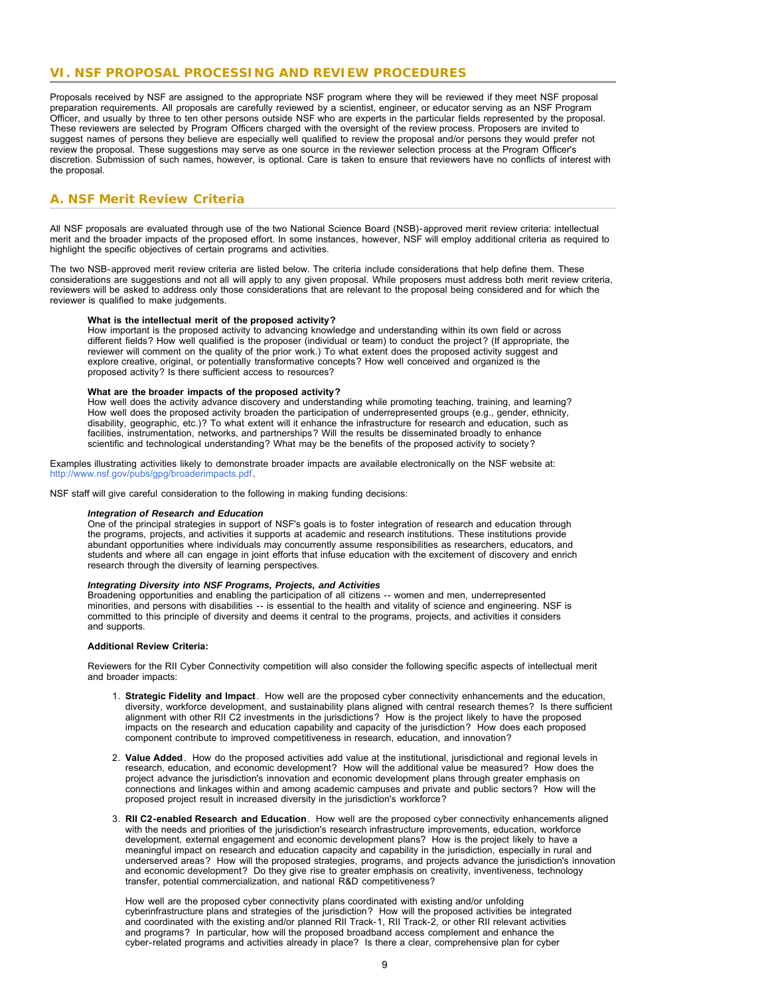# **VI. NSF PROPOSAL PROCESSING AND REVIEW PROCEDURES**

<span id="page-8-0"></span>Proposals received by NSF are assigned to the appropriate NSF program where they will be reviewed if they meet NSF proposal preparation requirements. All proposals are carefully reviewed by a scientist, engineer, or educator serving as an NSF Program Officer, and usually by three to ten other persons outside NSF who are experts in the particular fields represented by the proposal. These reviewers are selected by Program Officers charged with the oversight of the review process. Proposers are invited to suggest names of persons they believe are especially well qualified to review the proposal and/or persons they would prefer not review the proposal. These suggestions may serve as one source in the reviewer selection process at the Program Officer's discretion. Submission of such names, however, is optional. Care is taken to ensure that reviewers have no conflicts of interest with the proposal

# **A. NSF Merit Review Criteria**

All NSF proposals are evaluated through use of the two National Science Board (NSB)-approved merit review criteria: intellectual merit and the broader impacts of the proposed effort. In some instances, however, NSF will employ additional criteria as required to highlight the specific objectives of certain programs and activities.

The two NSB-approved merit review criteria are listed below. The criteria include considerations that help define them. These considerations are suggestions and not all will apply to any given proposal. While proposers must address both merit review criteria, reviewers will be asked to address only those considerations that are relevant to the proposal being considered and for which the reviewer is qualified to make judgements.

#### **What is the intellectual merit of the proposed activity?**

How important is the proposed activity to advancing knowledge and understanding within its own field or across different fields? How well qualified is the proposer (individual or team) to conduct the project? (If appropriate, the reviewer will comment on the quality of the prior work.) To what extent does the proposed activity suggest and explore creative, original, or potentially transformative concepts? How well conceived and organized is the proposed activity? Is there sufficient access to resources?

#### **What are the broader impacts of the proposed activity?**

How well does the activity advance discovery and understanding while promoting teaching, training, and learning? How well does the proposed activity broaden the participation of underrepresented groups (e.g., gender, ethnicity, disability, geographic, etc.)? To what extent will it enhance the infrastructure for research and education, such as facilities, instrumentation, networks, and partnerships? Will the results be disseminated broadly to enhance scientific and technological understanding? What may be the benefits of the proposed activity to society?

Examples illustrating activities likely to demonstrate broader impacts are available electronically on the NSF website at: <http://www.nsf.gov/pubs/gpg/broaderimpacts.pdf>.

NSF staff will give careful consideration to the following in making funding decisions:

#### *Integration of Research and Education*

One of the principal strategies in support of NSF's goals is to foster integration of research and education through the programs, projects, and activities it supports at academic and research institutions. These institutions provide abundant opportunities where individuals may concurrently assume responsibilities as researchers, educators, and students and where all can engage in joint efforts that infuse education with the excitement of discovery and enrich research through the diversity of learning perspectives.

#### *Integrating Diversity into NSF Programs, Projects, and Activities*

Broadening opportunities and enabling the participation of all citizens -- women and men, underrepresented minorities, and persons with disabilities -- is essential to the health and vitality of science and engineering. NSF is committed to this principle of diversity and deems it central to the programs, projects, and activities it considers and supports.

#### **Additional Review Criteria:**

Reviewers for the RII Cyber Connectivity competition will also consider the following specific aspects of intellectual merit and broader impacts:

- 1. **Strategic Fidelity and Impact**. How well are the proposed cyber connectivity enhancements and the education, diversity, workforce development, and sustainability plans aligned with central research themes? Is there sufficient alignment with other RII C2 investments in the jurisdictions? How is the project likely to have the proposed impacts on the research and education capability and capacity of the jurisdiction? How does each proposed component contribute to improved competitiveness in research, education, and innovation?
- 2. **Value Added**. How do the proposed activities add value at the institutional, jurisdictional and regional levels in research, education, and economic development? How will the additional value be measured? How does the project advance the jurisdiction's innovation and economic development plans through greater emphasis on connections and linkages within and among academic campuses and private and public sectors? How will the proposed project result in increased diversity in the jurisdiction's workforce?
- 3. **RII C2-enabled Research and Education**. How well are the proposed cyber connectivity enhancements aligned with the needs and priorities of the jurisdiction's research infrastructure improvements, education, workforce development, external engagement and economic development plans? How is the project likely to have a meaningful impact on research and education capacity and capability in the jurisdiction, especially in rural and underserved areas? How will the proposed strategies, programs, and projects advance the jurisdiction's innovation and economic development? Do they give rise to greater emphasis on creativity, inventiveness, technology transfer, potential commercialization, and national R&D competitiveness?

How well are the proposed cyber connectivity plans coordinated with existing and/or unfolding cyberinfrastructure plans and strategies of the jurisdiction? How will the proposed activities be integrated and coordinated with the existing and/or planned RII Track-1, RII Track-2, or other RII relevant activities and programs? In particular, how will the proposed broadband access complement and enhance the cyber-related programs and activities already in place? Is there a clear, comprehensive plan for cyber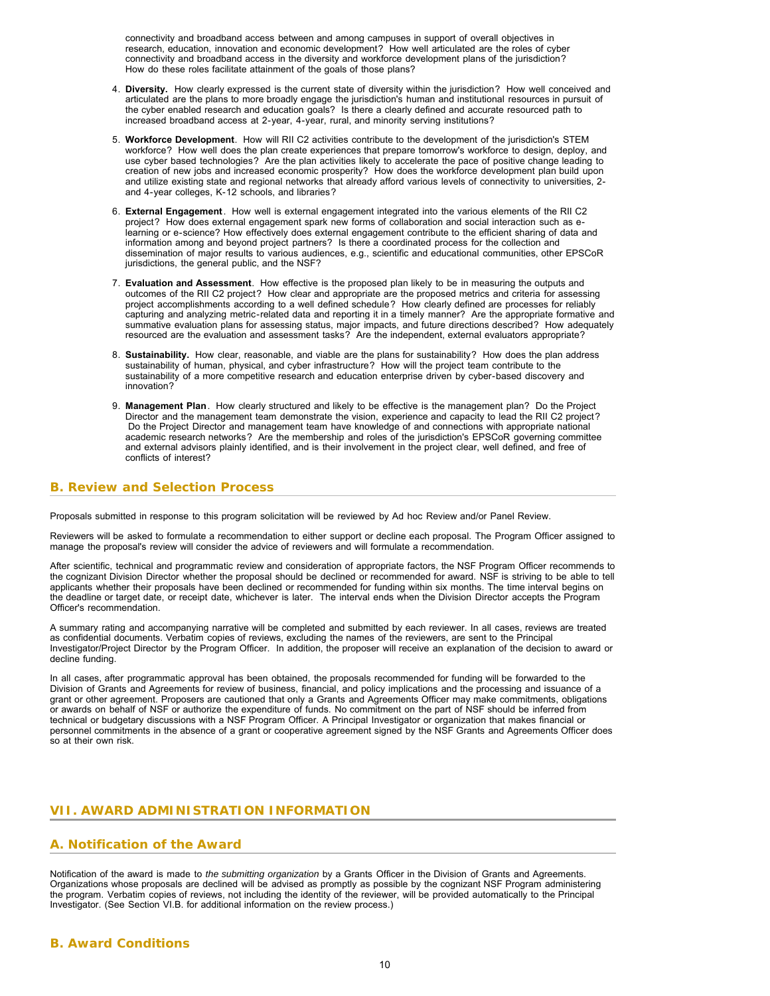connectivity and broadband access between and among campuses in support of overall objectives in research, education, innovation and economic development? How well articulated are the roles of cyber connectivity and broadband access in the diversity and workforce development plans of the jurisdiction? How do these roles facilitate attainment of the goals of those plans?

- 4. **Diversity.** How clearly expressed is the current state of diversity within the jurisdiction? How well conceived and articulated are the plans to more broadly engage the jurisdiction's human and institutional resources in pursuit of the cyber enabled research and education goals? Is there a clearly defined and accurate resourced path to increased broadband access at 2-year, 4-year, rural, and minority serving institutions?
- 5. **Workforce Development**. How will RII C2 activities contribute to the development of the jurisdiction's STEM workforce? How well does the plan create experiences that prepare tomorrow's workforce to design, deploy, and use cyber based technologies? Are the plan activities likely to accelerate the pace of positive change leading to creation of new jobs and increased economic prosperity? How does the workforce development plan build upon and utilize existing state and regional networks that already afford various levels of connectivity to universities, 2 and 4-year colleges, K-12 schools, and libraries?
- 6. **External Engagement**. How well is external engagement integrated into the various elements of the RII C2 project? How does external engagement spark new forms of collaboration and social interaction such as elearning or e-science? How effectively does external engagement contribute to the efficient sharing of data and information among and beyond project partners? Is there a coordinated process for the collection and dissemination of major results to various audiences, e.g., scientific and educational communities, other EPSCoR jurisdictions, the general public, and the NSF?
- 7. **Evaluation and Assessment**. How effective is the proposed plan likely to be in measuring the outputs and outcomes of the RII C2 project? How clear and appropriate are the proposed metrics and criteria for assessing project accomplishments according to a well defined schedule? How clearly defined are processes for reliably capturing and analyzing metric-related data and reporting it in a timely manner? Are the appropriate formative and summative evaluation plans for assessing status, major impacts, and future directions described? How adequately resourced are the evaluation and assessment tasks? Are the independent, external evaluators appropriate?
- 8. **Sustainability.** How clear, reasonable, and viable are the plans for sustainability? How does the plan address sustainability of human, physical, and cyber infrastructure? How will the project team contribute to the sustainability of a more competitive research and education enterprise driven by cyber-based discovery and innovation?
- 9. **Management Plan**. How clearly structured and likely to be effective is the management plan? Do the Project Director and the management team demonstrate the vision, experience and capacity to lead the RII C2 project? Do the Project Director and management team have knowledge of and connections with appropriate national academic research networks? Are the membership and roles of the jurisdiction's EPSCoR governing committee and external advisors plainly identified, and is their involvement in the project clear, well defined, and free of conflicts of interest?

# <span id="page-9-0"></span>**B. Review and Selection Process**

Proposals submitted in response to this program solicitation will be reviewed by Ad hoc Review and/or Panel Review.

Reviewers will be asked to formulate a recommendation to either support or decline each proposal. The Program Officer assigned to manage the proposal's review will consider the advice of reviewers and will formulate a recommendation.

After scientific, technical and programmatic review and consideration of appropriate factors, the NSF Program Officer recommends to the cognizant Division Director whether the proposal should be declined or recommended for award. NSF is striving to be able to tell applicants whether their proposals have been declined or recommended for funding within six months. The time interval begins on the deadline or target date, or receipt date, whichever is later. The interval ends when the Division Director accepts the Program Officer's recommendation.

A summary rating and accompanying narrative will be completed and submitted by each reviewer. In all cases, reviews are treated as confidential documents. Verbatim copies of reviews, excluding the names of the reviewers, are sent to the Principal Investigator/Project Director by the Program Officer. In addition, the proposer will receive an explanation of the decision to award or decline funding.

In all cases, after programmatic approval has been obtained, the proposals recommended for funding will be forwarded to the Division of Grants and Agreements for review of business, financial, and policy implications and the processing and issuance of a grant or other agreement. Proposers are cautioned that only a Grants and Agreements Officer may make commitments, obligations or awards on behalf of NSF or authorize the expenditure of funds. No commitment on the part of NSF should be inferred from technical or budgetary discussions with a NSF Program Officer. A Principal Investigator or organization that makes financial or personnel commitments in the absence of a grant or cooperative agreement signed by the NSF Grants and Agreements Officer does so at their own risk.

# <span id="page-9-1"></span>**VII. AWARD ADMINISTRATION INFORMATION**

# <span id="page-9-2"></span>**A. Notification of the Award**

Notification of the award is made to *the submitting organization* by a Grants Officer in the Division of Grants and Agreements. Organizations whose proposals are declined will be advised as promptly as possible by the cognizant NSF Program administering the program. Verbatim copies of reviews, not including the identity of the reviewer, will be provided automatically to the Principal Investigator. (See Section VI.B. for additional information on the review process.)

# <span id="page-9-3"></span>**B. Award Conditions**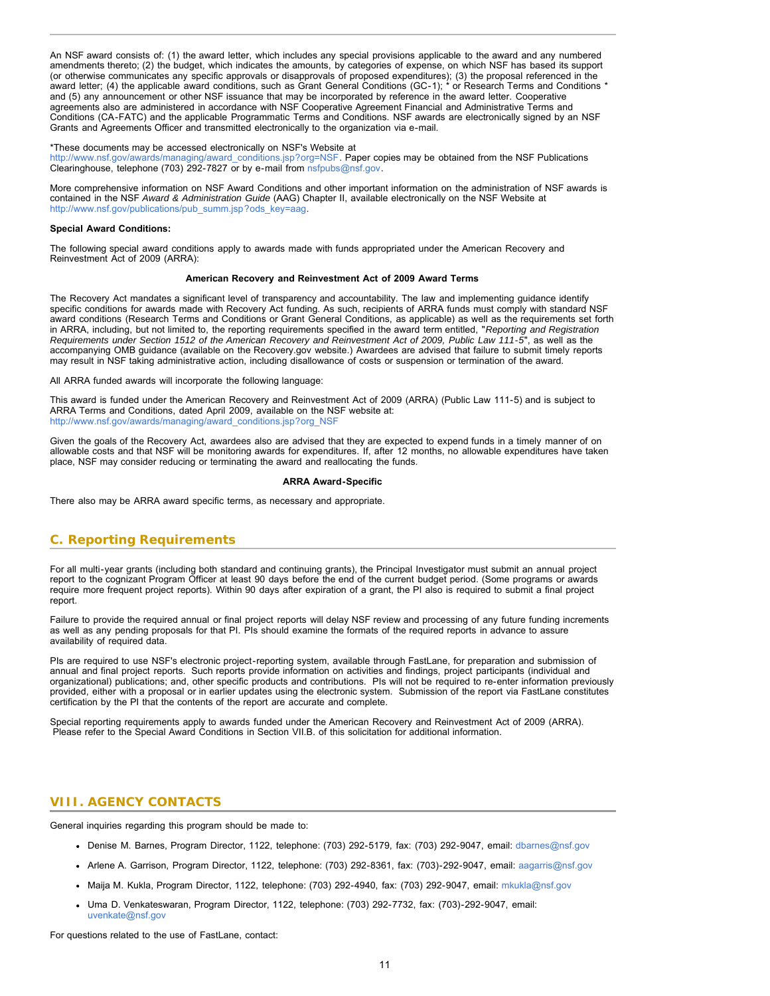An NSF award consists of: (1) the award letter, which includes any special provisions applicable to the award and any numbered amendments thereto; (2) the budget, which indicates the amounts, by categories of expense, on which NSF has based its support (or otherwise communicates any specific approvals or disapprovals of proposed expenditures); (3) the proposal referenced in the award letter; (4) the applicable award conditions, such as Grant General Conditions (GC-1); \* or Research Terms and Conditions \* and (5) any announcement or other NSF issuance that may be incorporated by reference in the award letter. Cooperative agreements also are administered in accordance with NSF Cooperative Agreement Financial and Administrative Terms and Conditions (CA-FATC) and the applicable Programmatic Terms and Conditions. NSF awards are electronically signed by an NSF Grants and Agreements Officer and transmitted electronically to the organization via e-mail.

#### \*These documents may be accessed electronically on NSF's Website at

[http://www.nsf.gov/awards/managing/award\\_conditions.jsp?org=NSF](http://www.nsf.gov/awards/managing/award_conditions.jsp?org=NSF). Paper copies may be obtained from the NSF Publications Clearinghouse, telephone (703) 292-7827 or by e-mail from [nsfpubs@nsf.gov.](mailto:pubs@nsf.gov)

More comprehensive information on NSF Award Conditions and other important information on the administration of NSF awards is contained in the NSF *Award & Administration Guide* (AAG) Chapter II, available electronically on the NSF Website at [http://www.nsf.gov/publications/pub\\_summ.jsp?ods\\_key=aag.](http://www.nsf.gov/publications/pub_summ.jsp?ods_key=aag)

#### **Special Award Conditions:**

The following special award conditions apply to awards made with funds appropriated under the American Recovery and Reinvestment Act of 2009 (ARRA):

#### **American Recovery and Reinvestment Act of 2009 Award Terms**

The Recovery Act mandates a significant level of transparency and accountability. The law and implementing guidance identify specific conditions for awards made with Recovery Act funding. As such, recipients of ARRA funds must comply with standard NSF award conditions (Research Terms and Conditions or Grant General Conditions, as applicable) as well as the requirements set forth in ARRA, including, but not limited to, the reporting requirements specified in the award term entitled, "*Reporting and Registration Requirements under Section 1512 of the American Recovery and Reinvestment Act of 2009, Public Law 111-5*", as well as the accompanying OMB guidance (available on the Recovery.gov website.) Awardees are advised that failure to submit timely reports may result in NSF taking administrative action, including disallowance of costs or suspension or termination of the award.

All ARRA funded awards will incorporate the following language:

This award is funded under the American Recovery and Reinvestment Act of 2009 (ARRA) (Public Law 111-5) and is subject to ARRA Terms and Conditions, dated April 2009, available on the NSF website at: [http://www.nsf.gov/awards/managing/award\\_conditions.jsp?org\\_NSF](http://www.nsf.gov/awards/managing/award_conditions.jsp?org_NSF)

Given the goals of the Recovery Act, awardees also are advised that they are expected to expend funds in a timely manner of on allowable costs and that NSF will be monitoring awards for expenditures. If, after 12 months, no allowable expenditures have taken place, NSF may consider reducing or terminating the award and reallocating the funds.

#### **ARRA Award-Specific**

There also may be ARRA award specific terms, as necessary and appropriate.

# <span id="page-10-0"></span>**C. Reporting Requirements**

For all multi-year grants (including both standard and continuing grants), the Principal Investigator must submit an annual project report to the cognizant Program Officer at least 90 days before the end of the current budget period. (Some programs or awards require more frequent project reports). Within 90 days after expiration of a grant, the PI also is required to submit a final project report.

Failure to provide the required annual or final project reports will delay NSF review and processing of any future funding increments as well as any pending proposals for that PI. PIs should examine the formats of the required reports in advance to assure availability of required data.

PIs are required to use NSF's electronic project-reporting system, available through FastLane, for preparation and submission of annual and final project reports. Such reports provide information on activities and findings, project participants (individual and organizational) publications; and, other specific products and contributions. PIs will not be required to re-enter information previously provided, either with a proposal or in earlier updates using the electronic system. Submission of the report via FastLane constitutes certification by the PI that the contents of the report are accurate and complete.

<span id="page-10-1"></span>Special reporting requirements apply to awards funded under the American Recovery and Reinvestment Act of 2009 (ARRA). Please refer to the Special Award Conditions in Section VII.B. of this solicitation for additional information.

## **VIII. AGENCY CONTACTS**

General inquiries regarding this program should be made to:

- Denise M. Barnes, Program Director, 1122, telephone: (703) 292-5179, fax: (703) 292-9047, email: [dbarnes@nsf.gov](mailto:dbarnes@nsf.gov)
- Arlene A. Garrison, Program Director, 1122, telephone: (703) 292-8361, fax: (703)-292-9047, email: [aagarris@nsf.gov](mailto:aagarris@nsf.gov)
- Maija M. Kukla, Program Director, 1122, telephone: (703) 292-4940, fax: (703) 292-9047, email: [mkukla@nsf.gov](mailto:mkukla@nsf.gov)
- Uma D. Venkateswaran, Program Director, 1122, telephone: (703) 292-7732, fax: (703)-292-9047, email: [uvenkate@nsf.gov](mailto:uvenkate@nsf.gov)

For questions related to the use of FastLane, contact: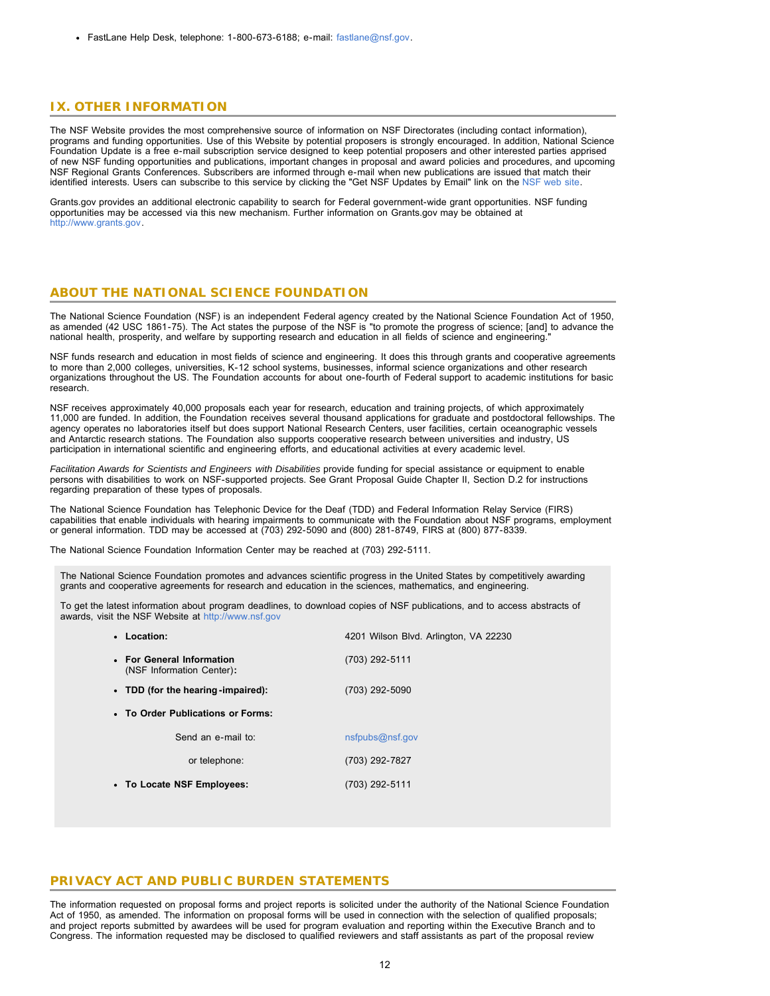FastLane Help Desk, telephone: 1-800-673-6188; e-mail: [fastlane@nsf.gov.](mailto:fastlane@nsf.gov)

# <span id="page-11-0"></span>**IX. OTHER INFORMATION**

The NSF Website provides the most comprehensive source of information on NSF Directorates (including contact information), programs and funding opportunities. Use of this Website by potential proposers is strongly encouraged. In addition, National Science Foundation Update is a free e-mail subscription service designed to keep potential proposers and other interested parties apprised of new NSF funding opportunities and publications, important changes in proposal and award policies and procedures, and upcoming NSF Regional Grants Conferences. Subscribers are informed through e-mail when new publications are issued that match their identified interests. Users can subscribe to this service by clicking the "Get NSF Updates by Email" link on the [NSF web site.](http://www.nsf.gov/)

Grants.gov provides an additional electronic capability to search for Federal government-wide grant opportunities. NSF funding opportunities may be accessed via this new mechanism. Further information on Grants.gov may be obtained at [http://www.grants.gov.](http://www.grants.gov/)

### **ABOUT THE NATIONAL SCIENCE FOUNDATION**

The National Science Foundation (NSF) is an independent Federal agency created by the National Science Foundation Act of 1950, as amended (42 USC 1861-75). The Act states the purpose of the NSF is "to promote the progress of science; [and] to advance the national health, prosperity, and welfare by supporting research and education in all fields of science and engineering."

NSF funds research and education in most fields of science and engineering. It does this through grants and cooperative agreements to more than 2,000 colleges, universities, K-12 school systems, businesses, informal science organizations and other research organizations throughout the US. The Foundation accounts for about one-fourth of Federal support to academic institutions for basic research.

NSF receives approximately 40,000 proposals each year for research, education and training projects, of which approximately 11,000 are funded. In addition, the Foundation receives several thousand applications for graduate and postdoctoral fellowships. The agency operates no laboratories itself but does support National Research Centers, user facilities, certain oceanographic vessels and Antarctic research stations. The Foundation also supports cooperative research between universities and industry, US participation in international scientific and engineering efforts, and educational activities at every academic level.

*Facilitation Awards for Scientists and Engineers with Disabilities* provide funding for special assistance or equipment to enable persons with disabilities to work on NSF-supported projects. See Grant Proposal Guide Chapter II, Section D.2 for instructions regarding preparation of these types of proposals.

The National Science Foundation has Telephonic Device for the Deaf (TDD) and Federal Information Relay Service (FIRS) capabilities that enable individuals with hearing impairments to communicate with the Foundation about NSF programs, employment or general information. TDD may be accessed at (703) 292-5090 and (800) 281-8749, FIRS at (800) 877-8339.

The National Science Foundation Information Center may be reached at (703) 292-5111.

The National Science Foundation promotes and advances scientific progress in the United States by competitively awarding grants and cooperative agreements for research and education in the sciences, mathematics, and engineering.

To get the latest information about program deadlines, to download copies of NSF publications, and to access abstracts of awards, visit the NSF Website at [http://www.nsf.gov](http://www.nsf.gov/)

## **PRIVACY ACT AND PUBLIC BURDEN STATEMENTS**

The information requested on proposal forms and project reports is solicited under the authority of the National Science Foundation Act of 1950, as amended. The information on proposal forms will be used in connection with the selection of qualified proposals; and project reports submitted by awardees will be used for program evaluation and reporting within the Executive Branch and to Congress. The information requested may be disclosed to qualified reviewers and staff assistants as part of the proposal review